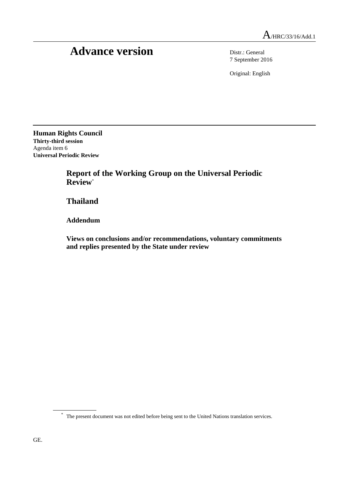# Advance version Distr.: General

7 September 2016

Original: English

**Human Rights Council Thirty-third session** Agenda item 6 **Universal Periodic Review**

> **Report of the Working Group on the Universal Periodic Review**\*

**Thailand**

**Addendum**

**Views on conclusions and/or recommendations, voluntary commitments and replies presented by the State under review**

<sup>\*</sup> The present document was not edited before being sent to the United Nations translation services.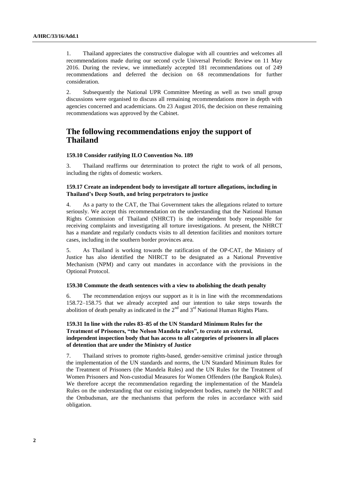1. Thailand appreciates the constructive dialogue with all countries and welcomes all recommendations made during our second cycle Universal Periodic Review on 11 May 2016. During the review, we immediately accepted 181 recommendations out of 249 recommendations and deferred the decision on 68 recommendations for further consideration.

2. Subsequently the National UPR Committee Meeting as well as two small group discussions were organised to discuss all remaining recommendations more in depth with agencies concerned and academicians. On 23 August 2016, the decision on these remaining recommendations was approved by the Cabinet.

# **The following recommendations enjoy the support of Thailand**

# **159.10 Consider ratifying ILO Convention No. 189**

3. Thailand reaffirms our determination to protect the right to work of all persons, including the rights of domestic workers.

# **159.17 Create an independent body to investigate all torture allegations, including in Thailand's Deep South, and bring perpetrators to justice**

4. As a party to the CAT, the Thai Government takes the allegations related to torture seriously. We accept this recommendation on the understanding that the National Human Rights Commission of Thailand (NHRCT) is the independent body responsible for receiving complaints and investigating all torture investigations. At present, the NHRCT has a mandate and regularly conducts visits to all detention facilities and monitors torture cases, including in the southern border provinces area.

5. As Thailand is working towards the ratification of the OP-CAT, the Ministry of Justice has also identified the NHRCT to be designated as a National Preventive Mechanism (NPM) and carry out mandates in accordance with the provisions in the Optional Protocol.

## **159.30 Commute the death sentences with a view to abolishing the death penalty**

6. The recommendation enjoys our support as it is in line with the recommendations 158.72–158.75 that we already accepted and our intention to take steps towards the abolition of death penalty as indicated in the  $2<sup>nd</sup>$  and  $3<sup>rd</sup>$  National Human Rights Plans.

# **159.31 In line with the rules 83–85 of the UN Standard Minimum Rules for the Treatment of Prisoners, "the Nelson Mandela rules", to create an external, independent inspection body that has access to all categories of prisoners in all places of detention that are under the Ministry of Justice**

7. Thailand strives to promote rights-based, gender-sensitive criminal justice through the implementation of the UN standards and norms, the UN Standard Minimum Rules for the Treatment of Prisoners (the Mandela Rules) and the UN Rules for the Treatment of Women Prisoners and Non-custodial Measures for Women Offenders (the Bangkok Rules). We therefore accept the recommendation regarding the implementation of the Mandela Rules on the understanding that our existing independent bodies, namely the NHRCT and the Ombudsman, are the mechanisms that perform the roles in accordance with said obligation.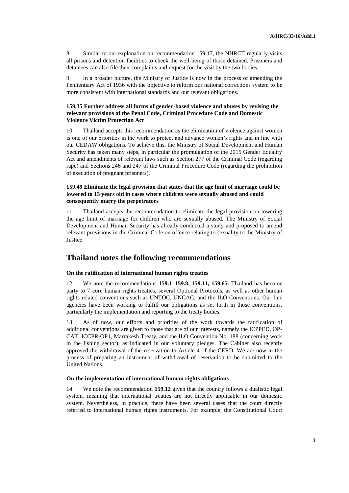8. Similar to our explanation on recommendation 159.17, the NHRCT regularly visits all prisons and detention facilities to check the well-being of those detained. Prisoners and detainees can also file their complaints and request for the visit by the two bodies.

9. In a broader picture, the Ministry of Justice is now in the process of amending the Penitentiary Act of 1936 with the objective to reform our national corrections system to be more consistent with international standards and our relevant obligations.

## **159.35 Further address all forms of gender-based violence and abuses by revising the relevant provisions of the Penal Code, Criminal Procedure Code and Domestic Violence Victim Protection Act**

10. Thailand accepts this recommendation as the elimination of violence against women is one of our priorities in the work to protect and advance women's rights and in line with our CEDAW obligations. To achieve this, the Ministry of Social Development and Human Security has taken many steps, in particular the promulgation of the 2015 Gender Equality Act and amendments of relevant laws such as Section 277 of the Criminal Code (regarding rape) and Sections 246 and 247 of the Criminal Procedure Code (regarding the prohibition of execution of pregnant prisoners).

## **159.49 Eliminate the legal provision that states that the age limit of marriage could be lowered to 13 years old in cases where children were sexually abused and could consequently marry the perpetrators**

11. Thailand accepts the recommendation to eliminate the legal provision on lowering the age limit of marriage for children who are sexually abused. The Ministry of Social Development and Human Security has already conducted a study and proposed to amend relevant provisions in the Criminal Code on offence relating to sexuality to the Ministry of **Justice** 

# **Thailand notes the following recommendations**

# **On the ratification of international human rights treaties**

12. We note the recommendations **159.1–159.8, 159.11, 159.65.** Thailand has become party to 7 core human rights treaties, several Optional Protocols, as well as other human rights related conventions such as UNTOC, UNCAC, and the ILO Conventions. Our line agencies have been working to fulfill our obligations as set forth in those conventions, particularly the implementation and reporting to the treaty bodies.

13. As of now, our efforts and priorities of the work towards the ratification of additional conventions are given to those that are of our interests, namely the ICPPED, OP-CAT, ICCPR-OP1, Marrakesh Treaty, and the ILO Convention No. 188 (concerning work in the fishing sector), as indicated in our voluntary pledges. The Cabinet also recently approved the withdrawal of the reservation to Article 4 of the CERD. We are now in the process of preparing an instrument of withdrawal of reservation to be submitted to the United Nations.

## **On the implementation of international human rights obligations**

14. We note the recommendation **159.12** given that the country follows a dualistic legal system, meaning that international treaties are not directly applicable in our domestic system. Nevertheless, in practice, there have been several cases that the court directly referred to international human rights instruments. For example, the Constitutional Court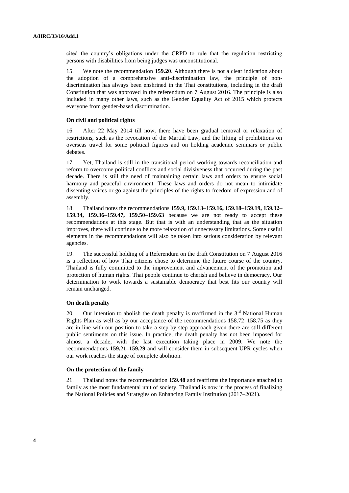cited the country's obligations under the CRPD to rule that the regulation restricting persons with disabilities from being judges was unconstitutional.

15. We note the recommendation **159.20**. Although there is not a clear indication about the adoption of a comprehensive anti-discrimination law, the principle of nondiscrimination has always been enshrined in the Thai constitutions, including in the draft Constitution that was approved in the referendum on 7 August 2016. The principle is also included in many other laws, such as the Gender Equality Act of 2015 which protects everyone from gender-based discrimination.

## **On civil and political rights**

16. After 22 May 2014 till now, there have been gradual removal or relaxation of restrictions, such as the revocation of the Martial Law, and the lifting of prohibitions on overseas travel for some political figures and on holding academic seminars or public debates.

17. Yet, Thailand is still in the transitional period working towards reconciliation and reform to overcome political conflicts and social divisiveness that occurred during the past decade. There is still the need of maintaining certain laws and orders to ensure social harmony and peaceful environment. These laws and orders do not mean to intimidate dissenting voices or go against the principles of the rights to freedom of expression and of assembly.

18. Thailand notes the recommendations **159.9, 159.13–159.16, 159.18–159.19, 159.32– 159.34, 159.36–159.47, 159.50–159.63** because we are not ready to accept these recommendations at this stage. But that is with an understanding that as the situation improves, there will continue to be more relaxation of unnecessary limitations. Some useful elements in the recommendations will also be taken into serious consideration by relevant agencies.

19. The successful holding of a Referendum on the draft Constitution on 7 August 2016 is a reflection of how Thai citizens chose to determine the future course of the country. Thailand is fully committed to the improvement and advancement of the promotion and protection of human rights. Thai people continue to cherish and believe in democracy. Our determination to work towards a sustainable democracy that best fits our country will remain unchanged.

#### **On death penalty**

20. Our intention to abolish the death penalty is reaffirmed in the  $3<sup>rd</sup>$  National Human Rights Plan as well as by our acceptance of the recommendations 158.72–158.75 as they are in line with our position to take a step by step approach given there are still different public sentiments on this issue. In practice, the death penalty has not been imposed for almost a decade, with the last execution taking place in 2009. We note the recommendations **159.21–159.29** and will consider them in subsequent UPR cycles when our work reaches the stage of complete abolition.

## **On the protection of the family**

21. Thailand notes the recommendation **159.48** and reaffirms the importance attached to family as the most fundamental unit of society. Thailand is now in the process of finalizing the National Policies and Strategies on Enhancing Family Institution (2017–2021).